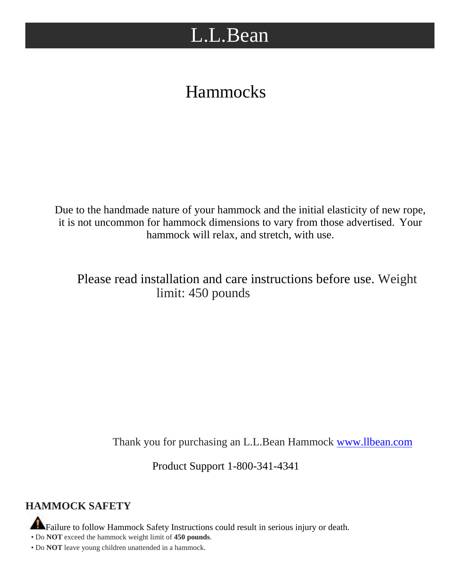# L.L.Bean

## Hammocks

Due to the handmade nature of your hammock and the initial elasticity of new rope, it is not uncommon for hammock dimensions to vary from those advertised. Your hammock will relax, and stretch, with use.

Please read installation and care instructions before use. Weight limit: 450 pounds

Thank you for purchasing an L.L.Bean Hammock [www.llbean.com](http://www.llbean.com/)

Product Support 1-800-341-4341

### **HAMMOCK SAFETY**

Failure to follow Hammock Safety Instructions could result in serious injury or death.

• Do **NOT** exceed the hammock weight limit of **450 pounds**.

• Do **NOT** leave young children unattended in a hammock.